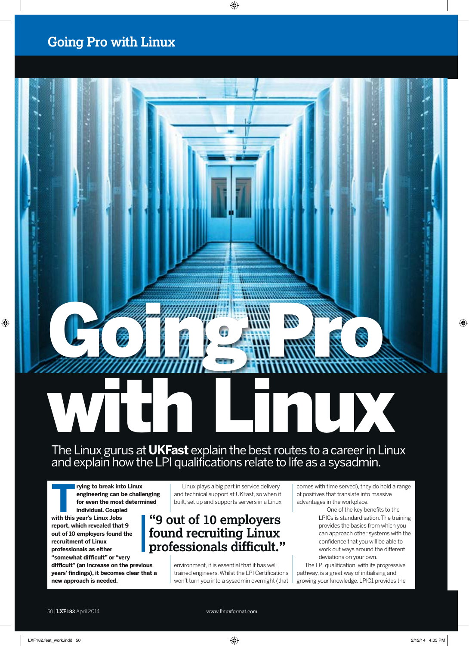#### **Going Pro with Linux**

# with Linux

Going Processing Communications

#### The Linux gurus at **UKFast** explain the best routes to a career in Linux and explain how the LPI qualifications relate to life as a sysadmin.

**The rying to break into Linux<br>
engineering can be challe<br>
for even the most determ<br>
individual. Coupled<br>
with this year's Linux lobs engineering can be challenging for even the most determined individual. Coupled** 

**with this year's Linux Jobs report, which revealed that 9 out of 10 employers found the recruitment of Linux professionals as either "somewhat difficult" or "very** 

**difficult" (an increase on the previous years' findings), it becomes clear that a new approach is needed.**

Linux plays a big part in service delivery and technical support at UKFast, so when it built, set up and supports servers in a Linux

#### **"9 out of 10 employers found recruiting Linux professionals difficult."**

environment, it is essential that it has well trained engineers. Whilst the LPI Certifications won't turn you into a sysadmin overnight (that comes with time served), they do hold a range of positives that translate into massive advantages in the workplace.

> One of the key benefits to the LPICs is standardisation. The training provides the basics from which you can approach other systems with the confidence that you will be able to work out ways around the different deviations on your own.

The LPI qualification, with its progressive pathway, is a great way of initialising and growing your knowledge. LPIC1 provides the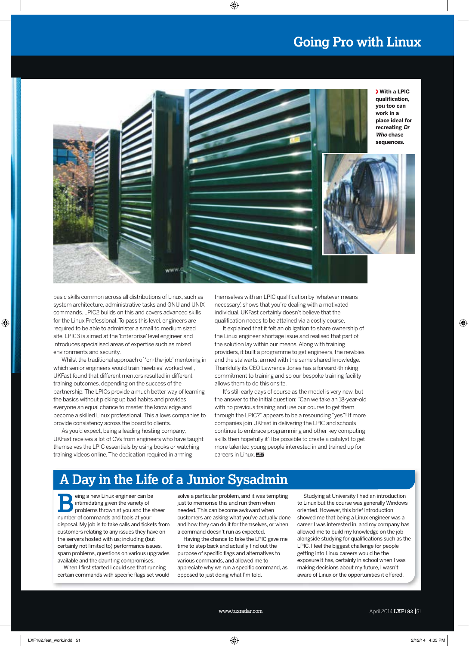#### **Going Pro with Linux**



basic skills common across all distributions of Linux, such as system architecture, administrative tasks and GNU and UNIX commands. LPIC2 builds on this and covers advanced skills for the Linux Professional. To pass this level, engineers are required to be able to administer a small to medium sized site. LPIC3 is aimed at the 'Enterprise' level engineer and introduces specialised areas of expertise such as mixed environments and security.

Whilst the traditional approach of 'on-the-job' mentoring in which senior engineers would train 'newbies' worked well, UKFast found that different mentors resulted in different training outcomes, depending on the success of the partnership. The LPICs provide a much better way of learning the basics without picking up bad habits and provides everyone an equal chance to master the knowledge and become a skilled Linux professional. This allows companies to provide consistency across the board to clients.

As you'd expect, being a leading hosting company, UKFast receives a lot of CVs from engineers who have taught themselves the LPIC essentials by using books or watching training videos online. The dedication required in arming

themselves with an LPIC qualification by 'whatever means necessary', shows that you're dealing with a motivated individual. UKFast certainly doesn't believe that the qualification needs to be attained via a costly course.

It explained that it felt an obligation to share ownership of the Linux engineer shortage issue and realised that part of the solution lay within our means. Along with training providers, it built a programme to get engineers, the newbies and the stalwarts, armed with the same shared knowledge. Thankfully its CEO Lawrence Jones has a forward-thinking commitment to training and so our bespoke training facility allows them to do this onsite.

It's still early days of course as the model is very new, but the answer to the initial question: "Can we take an 18-year-old with no previous training and use our course to get them through the LPIC?" appears to be a resounding "yes"! If more companies join UKFast in delivering the LPIC and schools continue to embrace programming and other key computing skills then hopefully it'll be possible to create a catalyst to get more talented young people interested in and trained up for **careers in Linux. <b>LXF** 

### **A Day in the Life of a Junior Sysadmin**

**BED SEARCH AND SEARCH STARK STARK STARK STARK STARK STARK STARK STARK STARK STARK STARK STARK STARK STARK STARK STARK STARK STARK STARK STARK STARK STARK STARK STARK STARK STARK STARK STARK STARK STARK STARK STARK STARK S** intimidating given the variety of number of commands and tools at your disposal. My job is to take calls and tickets from customers relating to any issues they have on the servers hosted with us; including (but certainly not limited to) performance issues, spam problems, questions on various upgrades available and the daunting compromises.

When I first started I could see that running certain commands with specific flags set would

solve a particular problem, and it was tempting just to memorise this and run them when needed. This can become awkward when customers are asking what you've actually done and how they can do it for themselves, or when a command doesn't run as expected.

Having the chance to take the LPIC gave me time to step back and actually find out the purpose of specific flags and alternatives to various commands, and allowed me to appreciate why we run a specific command, as opposed to just doing what I'm told.

Studying at University I had an introduction to Linux but the course was generally Windows oriented. However, this brief introduction showed me that being a Linux engineer was a career I was interested in, and my company has allowed me to build my knowledge on the job alongside studying for qualifications such as the LPIC. I feel the biggest challenge for people getting into Linux careers would be the exposure it has, certainly in school when I was making decisions about my future, I wasn't aware of Linux or the opportunities it offered.